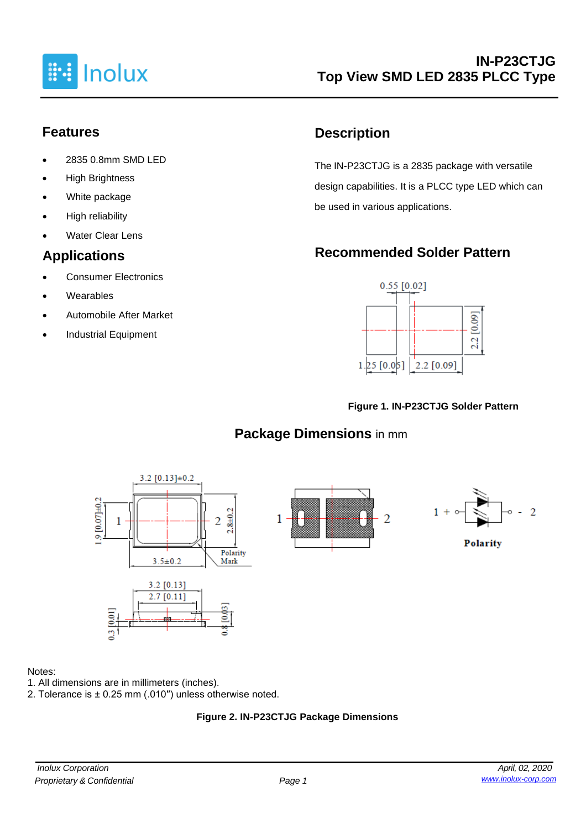

# **Features**

- 2835 0.8mm SMD LED
- **High Brightness**
- White package
- High reliability
- **Water Clear Lens**

# **Applications**

- Consumer Electronics
- **Wearables**
- Automobile After Market
- Industrial Equipment

# **Description**

The IN-P23CTJG is a 2835 package with versatile design capabilities. It is a PLCC type LED which can be used in various applications.

# **Recommended Solder Pattern**



#### **Figure 1. IN-P23CTJG Solder Pattern**

# **Package Dimensions** in mm



#### Notes:

- 1. All dimensions are in millimeters (inches).
- 2. Tolerance is ± 0.25 mm (.010′′) unless otherwise noted.

### **Figure 2. IN-P23CTJG Package Dimensions**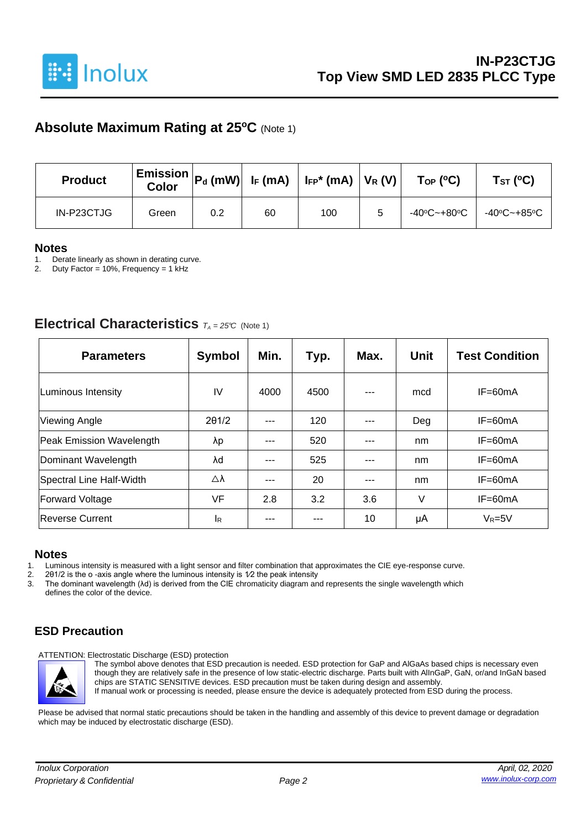

## **Absolute Maximum Rating at 25<sup>o</sup>C** (Note 1)

| <b>Product</b> | <b>Color</b> |     |    | $\mid$ Emission $\mid$ P $_{\sf d}$ (mW) $\mid$ I <sub>F</sub> (mA) $\mid$ I <sub>FP</sub> * (mA) $\mid$ V <sub>R</sub> (V) $\mid$ | $\mathsf{Top}$ (°C) | Tst (°C)    |
|----------------|--------------|-----|----|------------------------------------------------------------------------------------------------------------------------------------|---------------------|-------------|
| IN-P23CTJG     | Green        | 0.2 | 60 | 100                                                                                                                                | -40°C~+80°C         | -40ºC~+85ºC |

#### **Notes**

1. Derate linearly as shown in derating curve.<br>2. Duty Factor = 10%. Frequency = 1 kHz

Duty Factor = 10%, Frequency = 1 kHz

### **Electrical Characteristics**  $T_A = 25^\circ C$  (Note 1)

| <b>Parameters</b>               | <b>Symbol</b> | Min. | Typ. | Max.    | Unit | <b>Test Condition</b> |
|---------------------------------|---------------|------|------|---------|------|-----------------------|
| Luminous Intensity              | IV            | 4000 | 4500 | $- - -$ | mcd  | $IF=60mA$             |
| <b>Viewing Angle</b>            | $2\theta$ 1/2 | ---  | 120  | ---     | Deg  | $IF=60mA$             |
| <b>Peak Emission Wavelength</b> | λp            | ---  | 520  | ---     | nm   | $IF=60mA$             |
| Dominant Wavelength             | λd            |      | 525  | ---     | nm   | $IF=60mA$             |
| Spectral Line Half-Width        | Δλ            | ---  | 20   |         | nm   | $IF=60mA$             |
| <b>Forward Voltage</b>          | <b>VF</b>     | 2.8  | 3.2  | 3.6     | V    | $IF=60mA$             |
| Reverse Current                 | <b>I</b> R    | ---  |      | 10      | μA   | $V_R = 5V$            |

#### **Notes**

1. Luminous intensity is measured with a light sensor and filter combination that approximates the CIE eye-response curve.<br>2. 201/2 is the o-axis angle where the luminous intensity is  $1/2$  the peak intensity

2. 201/2 is the o -axis angle where the luminous intensity is  $1/2$  the peak intensity 3. The dominant wavelength  $(\lambda d)$  is derived from the CIE chromaticity diagram an

3. The dominant wavelength (λd) is derived from the CIE chromaticity diagram and represents the single wavelength which defines the color of the device.

### **ESD Precaution**

ATTENTION: Electrostatic Discharge (ESD) protection



The symbol above denotes that ESD precaution is needed. ESD protection for GaP and AlGaAs based chips is necessary even though they are relatively safe in the presence of low static-electric discharge. Parts built with AlInGaP, GaN, or/and InGaN based chips are STATIC SENSITIVE devices. ESD precaution must be taken during design and assembly. If manual work or processing is needed, please ensure the device is adequately protected from ESD during the process.

Please be advised that normal static precautions should be taken in the handling and assembly of this device to prevent damage or degradation which may be induced by electrostatic discharge (ESD).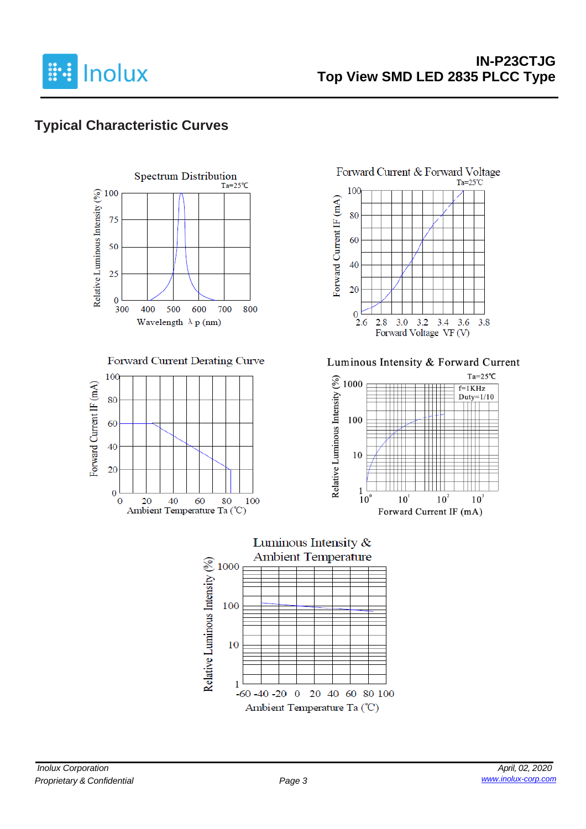

# **Typical Characteristic Curves**



#### Forward Current Derating Curve





Luminous Intensity & Forward Current



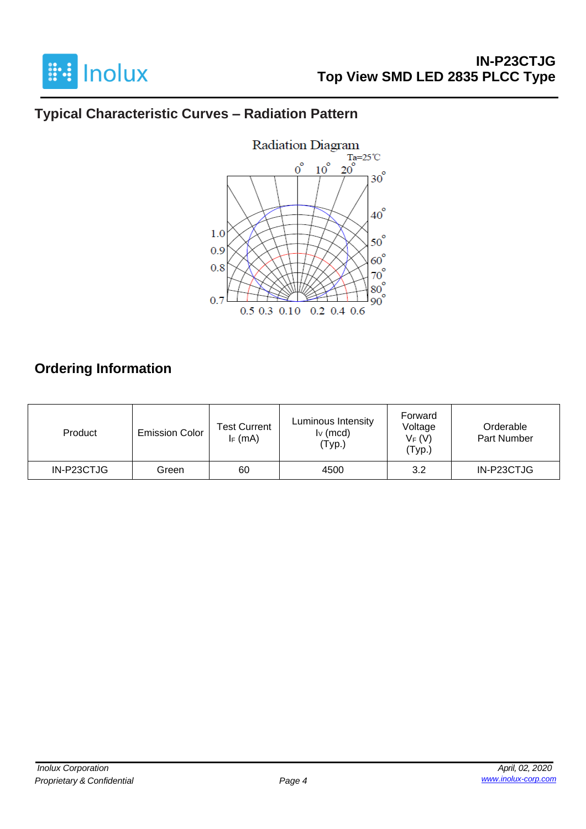

# **Typical Characteristic Curves – Radiation Pattern**



# **Ordering Information**

| Product    | <b>Emission Color</b> | Test Current<br>$I_F$ (mA) | Luminous Intensity<br>$I_V$ (mcd)<br>'Typ.) | Forward<br>Voltage<br>$V_F(V)$<br>(Typ.) | Orderable<br>Part Number |
|------------|-----------------------|----------------------------|---------------------------------------------|------------------------------------------|--------------------------|
| IN-P23CTJG | Green                 | 60                         | 4500                                        | 3.2                                      | IN-P23CTJG               |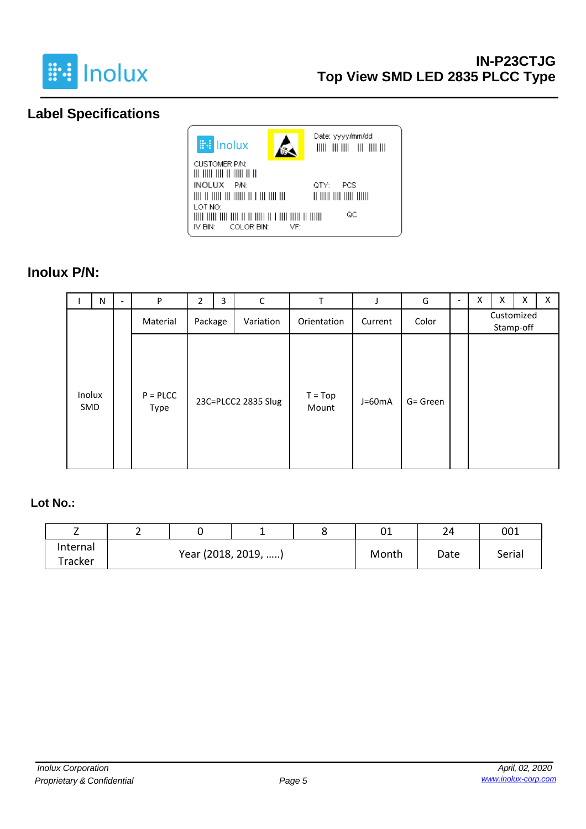

# **Label Specifications**



### **Inolux P/N:**

|               | N | $\overline{\phantom{a}}$ | P                     | $\overline{2}$       | 3 | C                   | T                  |          | G        | $\overline{\phantom{a}}$ | X | X | X | X |
|---------------|---|--------------------------|-----------------------|----------------------|---|---------------------|--------------------|----------|----------|--------------------------|---|---|---|---|
|               |   |                          | Material              | Package<br>Variation |   | Orientation         | Current            | Color    |          | Customized<br>Stamp-off  |   |   |   |   |
| Inolux<br>SMD |   |                          | $P = P L C C$<br>Type |                      |   | 23C=PLCC2 2835 Slug | $T = Top$<br>Mount | $J=60mA$ | G= Green |                          |   |   |   |   |

### **Lot No.:**

| -        |  |                     |       | 01   | 24     | 001 |
|----------|--|---------------------|-------|------|--------|-----|
| Internal |  | Year (2018, 2019, ) | Month | Date | Serial |     |
| Tracker  |  |                     |       |      |        |     |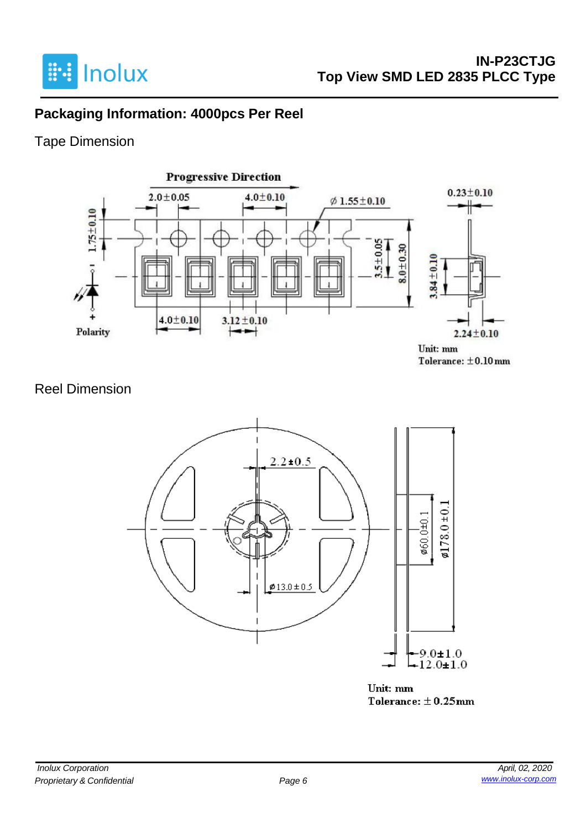

# **Packaging Information: 4000pcs Per Reel**

# Tape Dimension



## Reel Dimension



Unit: mm Tolerance:  $\pm$  0.25mm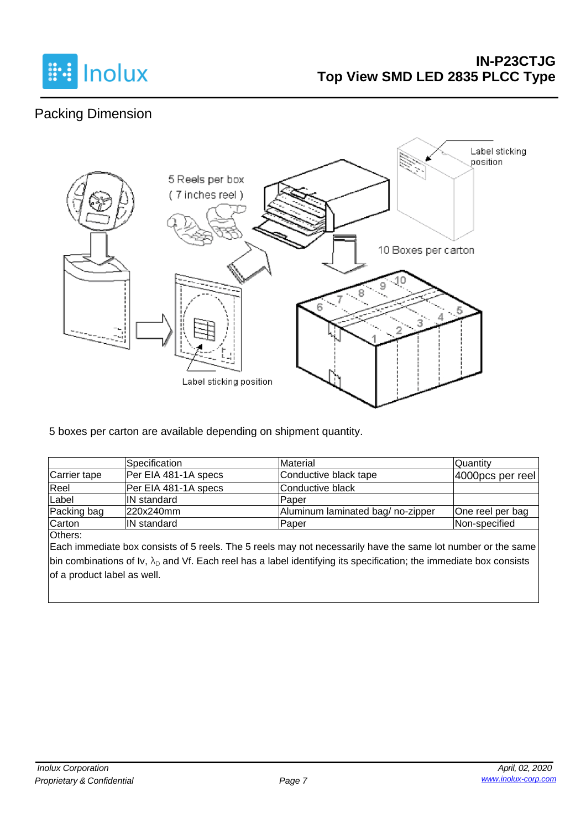

# Packing Dimension



5 boxes per carton are available depending on shipment quantity.

|              | Specification        | Material                         | Quantity         |
|--------------|----------------------|----------------------------------|------------------|
| Carrier tape | Per EIA 481-1A specs | Conductive black tape            | 4000pcs per reel |
| Reel         | Per EIA 481-1A specs | lConductive black                |                  |
| Label        | <b>IN</b> standard   | lPaper                           |                  |
| Packing bag  | 220x240mm            | Aluminum laminated bag/no-zipper | One reel per bag |
| Carton       | <b>IN standard</b>   | Paper                            | Non-specified    |

Others:

Each immediate box consists of 5 reels. The 5 reels may not necessarily have the same lot number or the same bin combinations of Iv,  $\lambda_D$  and Vf. Each reel has a label identifying its specification; the immediate box consists of a product label as well.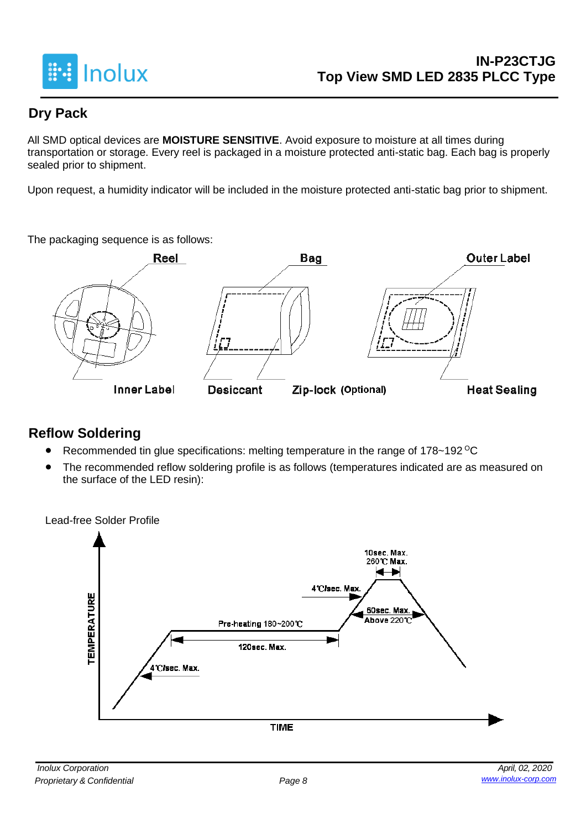

# **Dry Pack**

All SMD optical devices are **MOISTURE SENSITIVE**. Avoid exposure to moisture at all times during transportation or storage. Every reel is packaged in a moisture protected anti-static bag. Each bag is properly sealed prior to shipment.

Upon request, a humidity indicator will be included in the moisture protected anti-static bag prior to shipment.

The packaging sequence is as follows:



# **Reflow Soldering**

- Recommended tin glue specifications: melting temperature in the range of 178~192 <sup>o</sup>C
- The recommended reflow soldering profile is as follows (temperatures indicated are as measured on the surface of the LED resin):

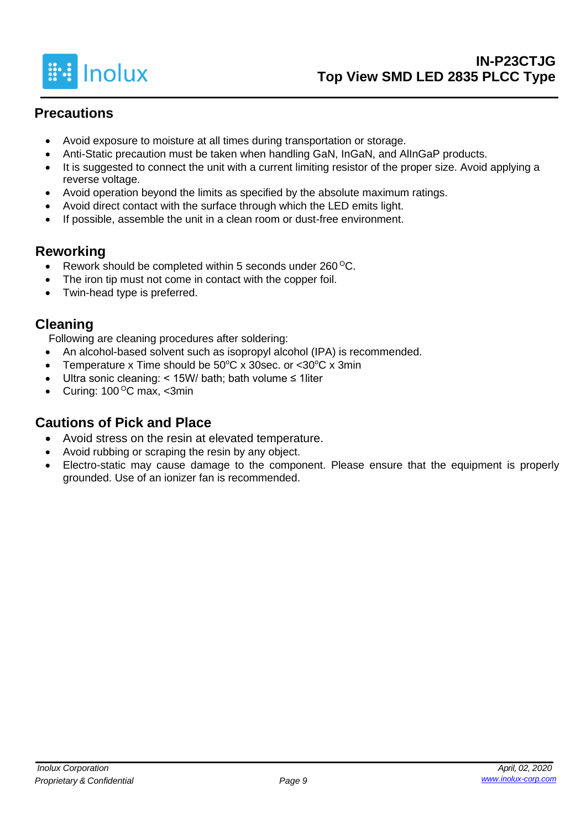

# **Precautions**

- Avoid exposure to moisture at all times during transportation or storage.
- Anti-Static precaution must be taken when handling GaN, InGaN, and AlInGaP products.
- It is suggested to connect the unit with a current limiting resistor of the proper size. Avoid applying a reverse voltage.
- Avoid operation beyond the limits as specified by the absolute maximum ratings.
- Avoid direct contact with the surface through which the LED emits light.
- If possible, assemble the unit in a clean room or dust-free environment.

## **Reworking**

- Rework should be completed within 5 seconds under  $260^{\circ}$ C.
- The iron tip must not come in contact with the copper foil.
- Twin-head type is preferred.

## **Cleaning**

Following are cleaning procedures after soldering:

- An alcohol-based solvent such as isopropyl alcohol (IPA) is recommended.
- Temperature x Time should be  $50^{\circ}$ C x 30sec. or  $<$ 30 $^{\circ}$ C x 3min
- Ultra sonic cleaning: < 15W/ bath; bath volume ≤ 1liter
- Curing:  $100^{\circ}$ C max, <3min

# **Cautions of Pick and Place**

- Avoid stress on the resin at elevated temperature.
- Avoid rubbing or scraping the resin by any object.
- Electro-static may cause damage to the component. Please ensure that the equipment is properly grounded. Use of an ionizer fan is recommended.